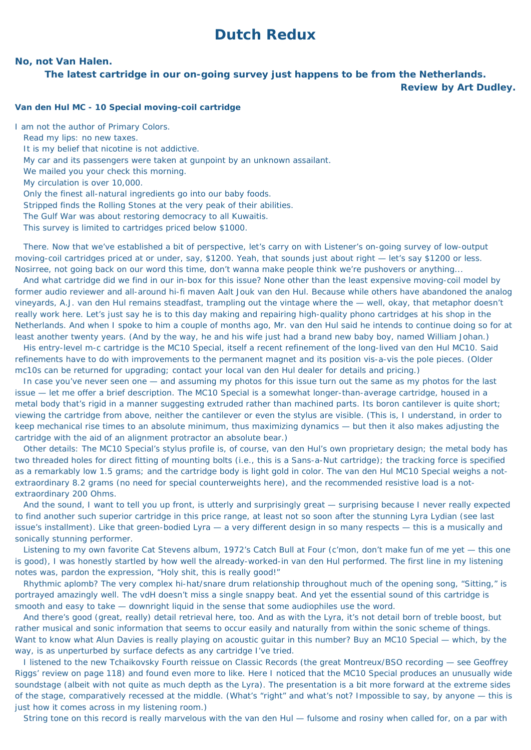## **Dutch Redux**

## **No, not Van Halen.**

**The latest cartridge in our on-going survey just happens to be from the Netherlands.**

**Review by Art Dudley.**

## **Van den Hul MC - 10 Special moving-coil cartridge**

I am not the author of *Primary Colors*.

Read my lips: no new taxes.

It is my belief that nicotine is not addictive.

My car and its passengers were taken at gunpoint by an unknown assailant.

We mailed you your check this morning.

My circulation is over 10,000.

Only the finest all-natural ingredients go into our baby foods.

*Stripped* finds the Rolling Stones at the very peak of their abilities.

The Gulf War was about restoring democracy to all Kuwaitis.

This survey is limited to cartridges priced below \$1000.

 There. Now that we've established a bit of perspective, let's carry on with *Listener*'s on-going survey of low-output moving-coil cartridges priced at or under, say, \$1200. Yeah, that sounds just about right — let's say \$1200 or less. Nosirree, not going back on our word this time, don't wanna make people think we're pushovers or anything...

 And what cartridge did we find in our in-box for this issue? None other than the least expensive moving-coil model by former audio reviewer and all-around hi-fi maven Aalt Jouk van den Hul. Because while others have abandoned the analog vineyards, A.J. van den Hul remains steadfast, trampling out the vintage where the — well, okay, that metaphor doesn't really work here. Let's just say he is to this day making and repairing high-quality phono cartridges at his shop in the Netherlands. And when I spoke to him a couple of months ago, Mr. van den Hul said he intends to continue doing so for at least another twenty years. (And by the way, he and his wife just had a brand new baby boy, named William Johan.)

 His entry-level m-c cartridge is the MC10 Special, itself a recent refinement of the long-lived van den Hul MC10. Said refinements have to do with improvements to the permanent magnet and its position *vis-a-vis* the pole pieces. (Older mc10s can be returned for upgrading; contact your local van den Hul dealer for details and pricing.)

 I listened to the new *Tchaikovsky Fourth* reissue on Classic Records (the great Montreux/BSO recording — see Geoffrey Riggs' review on page 118) and found even more to like. Here I noticed that the MC10 Special produces an unusually wide soundstage (albeit with not quite as much depth as the Lyra). The presentation is a bit more forward at the extreme sides of the stage, comparatively recessed at the middle. (What's "right" and what's not? Impossible to say, by anyone — this is just how it comes across in my listening room.)

 In case you've never seen one — and assuming my photos for this issue turn out the same as my photos for the last issue — let me offer a brief description. The MC10 Special is a somewhat longer-than-average cartridge, housed in a metal body that's rigid in a manner suggesting extruded rather than machined parts. Its boron cantilever is quite short; viewing the cartridge from above, neither the cantilever or even the stylus are visible. (This is, I understand, in order to keep mechanical rise times to an absolute minimum, thus maximizing dynamics — but then it also makes adjusting the cartridge with the aid of an alignment protractor an absolute bear.)

 Other details: The MC10 Special's stylus profile is, of course, van den Hul's own proprietary design; the metal body has two threaded holes for direct fitting of mounting bolts (i.e., this is a Sans-a-Nut cartridge); the tracking force is specified as a remarkably low 1.5 grams; and the cartridge body is light gold in color. The van den Hul MC10 Special weighs a notextraordinary 8.2 grams (no need for special counterweights here), and the recommended resistive load is a notextraordinary 200 Ohms.

 And the sound, I want to tell you up front, is utterly and surprisingly great — surprising because I never really expected to find another such superior cartridge in this price range, at least not so soon after the stunning Lyra Lydian (see last issue's installment). Like that green-bodied Lyra — a very different design in so many respects — this is a musically and sonically stunning performer.

 Listening to my own favorite Cat Stevens album, 1972's *Catch Bull at Four* (*c'mon*, don't make fun of me yet — this one is good), I was honestly startled by how well the already-worked-in van den Hul performed. The first line in my listening notes was, pardon the expression, "Holy shit, this is really good!"

 Rhythmic aplomb? The very complex hi-hat/snare drum relationship throughout much of the opening song, "Sitting," is portrayed amazingly well. The vdH doesn't miss a single snappy beat. And yet the essential sound of this cartridge is smooth and easy to take — downright liquid in the sense that some audiophiles use the word.

 And there's good (great, really) detail retrieval here, too. And as with the Lyra, it's not detail born of treble boost, but rather musical and sonic information that seems to occur easily and naturally from within the sonic scheme of things. Want to know what Alun Davies is really playing on acoustic guitar in this number? Buy an MC10 Special — which, by the way, is as unperturbed by surface defects as any cartridge I've tried.

String tone on this record is really marvelous with the van den Hul — fulsome and rosiny when called for, on a par with